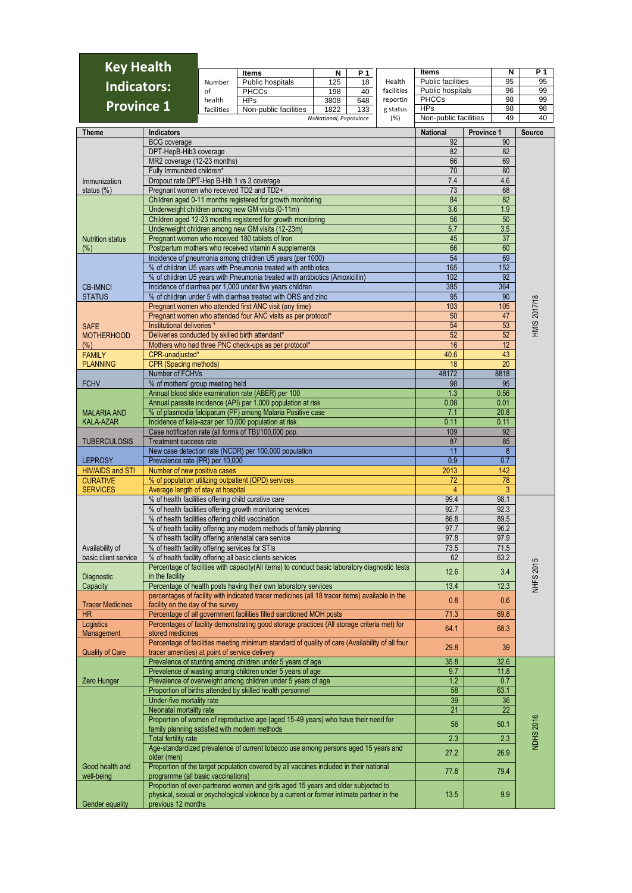| <b>Key Health</b>       |                                                                                    |            |                                                                                                                                                                                |                        |           |            |                                          |            |                  |                     |  |  |  |  |
|-------------------------|------------------------------------------------------------------------------------|------------|--------------------------------------------------------------------------------------------------------------------------------------------------------------------------------|------------------------|-----------|------------|------------------------------------------|------------|------------------|---------------------|--|--|--|--|
|                         |                                                                                    | Number     | Items                                                                                                                                                                          | N<br>125               | P 1<br>18 | Health     | <b>Items</b><br><b>Public facilities</b> |            | N<br>95          | P 1<br>95           |  |  |  |  |
| <b>Indicators:</b>      |                                                                                    | of         | Public hospitals<br><b>PHCCs</b>                                                                                                                                               | 198                    | 40        | facilities | Public hospitals                         |            | 96               | 99                  |  |  |  |  |
|                         |                                                                                    | health     | <b>HPs</b>                                                                                                                                                                     | 3808                   | 648       | reportin   | <b>PHCCs</b>                             |            | 98               | 99                  |  |  |  |  |
| <b>Province 1</b>       |                                                                                    | facilities | Non-public facilities                                                                                                                                                          | 1822                   | 133       | g status   | <b>HPs</b>                               |            | 98               | 98                  |  |  |  |  |
|                         |                                                                                    |            |                                                                                                                                                                                | N=National, P=province |           | (% )       | Non-public facilities                    |            | 49               | 40                  |  |  |  |  |
| Theme                   | <b>Indicators</b>                                                                  |            |                                                                                                                                                                                |                        |           |            | <b>National</b>                          | Province 1 |                  | <b>Source</b>       |  |  |  |  |
|                         | <b>BCG</b> coverage                                                                |            |                                                                                                                                                                                |                        |           |            | 92                                       |            | 90               |                     |  |  |  |  |
|                         | DPT-HepB-Hib3 coverage<br>MR2 coverage (12-23 months)                              |            |                                                                                                                                                                                |                        |           |            | 82<br>66                                 |            | 82<br>69         |                     |  |  |  |  |
|                         | Fully Immunized children*                                                          |            |                                                                                                                                                                                |                        |           |            | 70                                       |            | 80               |                     |  |  |  |  |
| Immunization            | Dropout rate DPT-Hep B-Hib 1 vs 3 coverage                                         |            |                                                                                                                                                                                |                        |           |            | 7.4                                      |            | 4.6              |                     |  |  |  |  |
| status $(\%)$           | Pregnant women who received TD2 and TD2+                                           |            |                                                                                                                                                                                |                        |           |            | 73                                       |            | 68               |                     |  |  |  |  |
|                         |                                                                                    |            | Children aged 0-11 months registered for growth monitoring                                                                                                                     |                        |           |            | 84                                       |            | 82               |                     |  |  |  |  |
|                         |                                                                                    |            | Underweight children among new GM visits (0-11m)                                                                                                                               |                        |           |            | 3.6                                      |            | 1.9              |                     |  |  |  |  |
|                         |                                                                                    |            | Children aged 12-23 months registered for growth monitoring<br>Underweight children among new GM visits (12-23m)                                                               |                        |           |            | 56<br>5.7                                |            | 50<br>3.5        |                     |  |  |  |  |
| <b>Nutrition status</b> |                                                                                    |            | Pregnant women who received 180 tablets of Iron                                                                                                                                |                        |           |            | 45                                       |            | $\overline{37}$  |                     |  |  |  |  |
| $(\%)$                  |                                                                                    |            | Postpartum mothers who received vitamin A supplements                                                                                                                          |                        |           |            | 66                                       |            | 60               |                     |  |  |  |  |
|                         |                                                                                    |            | Incidence of pneumonia among children U5 years (per 1000)                                                                                                                      |                        |           |            | 54                                       |            | 69               |                     |  |  |  |  |
|                         |                                                                                    |            | % of children U5 years with Pneumonia treated with antibiotics                                                                                                                 |                        |           |            | 165                                      |            | 152              |                     |  |  |  |  |
|                         |                                                                                    |            | % of children U5 years with Pneumonia treated with antibiotics (Amoxicillin)                                                                                                   |                        |           |            | 102                                      |            | 92               |                     |  |  |  |  |
| <b>CB-IMNCI</b>         |                                                                                    |            | Incidence of diarrhea per 1,000 under five years children                                                                                                                      |                        |           |            | 385                                      |            | 364              |                     |  |  |  |  |
| <b>STATUS</b>           |                                                                                    |            | % of children under 5 with diarrhea treated with ORS and zinc<br>Pregnant women who attended first ANC visit (any time)                                                        |                        |           |            | 95<br>103                                |            | 90<br>105        | <b>HMIS 2017/18</b> |  |  |  |  |
|                         |                                                                                    |            | Pregnant women who attended four ANC visits as per protocol*                                                                                                                   |                        |           |            | 50                                       |            | 47               |                     |  |  |  |  |
| <b>SAFE</b>             | Institutional deliveries *                                                         |            |                                                                                                                                                                                |                        |           |            | 54                                       |            | 53               |                     |  |  |  |  |
| <b>MOTHERHOOD</b>       | Deliveries conducted by skilled birth attendant*                                   |            |                                                                                                                                                                                |                        |           |            | 52                                       |            | 52               |                     |  |  |  |  |
| $(\%)$                  |                                                                                    |            | Mothers who had three PNC check-ups as per protocol*                                                                                                                           |                        |           |            | 16                                       |            | 12               |                     |  |  |  |  |
| <b>FAMILY</b>           | CPR-unadjusted*                                                                    |            |                                                                                                                                                                                |                        |           |            | 40.6                                     |            | 43               |                     |  |  |  |  |
| <b>PLANNING</b>         | <b>CPR (Spacing methods)</b>                                                       |            |                                                                                                                                                                                |                        |           |            | 18<br>48172                              |            | $\overline{20}$  |                     |  |  |  |  |
| <b>FCHV</b>             | Number of FCHVs<br>% of mothers' group meeting held                                |            |                                                                                                                                                                                |                        |           |            | 98                                       |            | 8818<br>95       |                     |  |  |  |  |
|                         |                                                                                    |            | Annual blood slide examination rate (ABER) per 100                                                                                                                             |                        |           |            | 1.3                                      |            | 0.56             |                     |  |  |  |  |
|                         |                                                                                    |            | Annual parasite incidence (API) per 1,000 population at risk                                                                                                                   |                        |           |            | 0.08                                     |            | 0.01             |                     |  |  |  |  |
| <b>MALARIA AND</b>      |                                                                                    |            | % of plasmodia falciparum (PF) among Malaria Positive case                                                                                                                     |                        |           |            | 7.1                                      |            | 20.8             |                     |  |  |  |  |
| KALA-AZAR               |                                                                                    |            | Incidence of kala-azar per 10,000 population at risk                                                                                                                           |                        |           |            | 0.11                                     |            | 0.11             |                     |  |  |  |  |
|                         | Treatment success rate                                                             |            | Case notification rate (all forms of TB)/100,000 pop.                                                                                                                          |                        |           |            | 109<br>87                                |            | 92<br>85         |                     |  |  |  |  |
| <b>TUBERCULOSIS</b>     |                                                                                    |            | New case detection rate (NCDR) per 100,000 population                                                                                                                          |                        |           |            | 11                                       |            | $\boldsymbol{8}$ |                     |  |  |  |  |
| <b>LEPROSY</b>          | Prevalence rate (PR) per 10,000                                                    |            |                                                                                                                                                                                |                        |           |            | 0.9                                      |            | 0.7              |                     |  |  |  |  |
| <b>HIV/AIDS and STI</b> | Number of new positive cases                                                       |            |                                                                                                                                                                                |                        |           |            | 2013                                     |            | 142              |                     |  |  |  |  |
| <b>CURATIVE</b>         |                                                                                    |            | % of population utilizing outpatient (OPD) services                                                                                                                            |                        |           |            | 72                                       |            | 78               |                     |  |  |  |  |
| <b>SERVICES</b>         | Average length of stay at hospital                                                 |            |                                                                                                                                                                                |                        |           |            | $\overline{4}$                           |            | 3                |                     |  |  |  |  |
|                         |                                                                                    |            | % of health facilities offering child curative care<br>% of health facilities offering growth monitoring services                                                              |                        |           |            | 99.4<br>92.7                             |            | 98.1<br>92.3     |                     |  |  |  |  |
|                         | % of health facilities offering child vaccination                                  |            |                                                                                                                                                                                |                        |           |            | 86.8                                     |            | 89.5             |                     |  |  |  |  |
|                         |                                                                                    |            | % of health facility offering any modern methods of family planning                                                                                                            |                        |           |            | 97.7                                     |            | 96.2             |                     |  |  |  |  |
|                         |                                                                                    |            | % of health facility offering antenatal care service                                                                                                                           |                        |           |            | 97.8                                     |            | 97.9             |                     |  |  |  |  |
| Availability of         | % of health facility offering services for STIs                                    |            |                                                                                                                                                                                |                        |           |            | 73.5                                     |            | 71.5             |                     |  |  |  |  |
| basic client service    |                                                                                    |            | % of health facility offering all basic clients services                                                                                                                       |                        |           |            | 62                                       |            | 63.2             |                     |  |  |  |  |
| Diagnostic              | in the facility                                                                    |            | Percentage of facilities with capacity(All items) to conduct basic laboratory diagnostic tests                                                                                 |                        |           |            | 12.6                                     |            | 3.4              |                     |  |  |  |  |
| Capacity                |                                                                                    |            | Percentage of health posts having their own laboratory services                                                                                                                |                        |           |            | 13.4                                     |            | 12.3             | <b>NHFS 2015</b>    |  |  |  |  |
|                         |                                                                                    |            | percentages of facility with indicated tracer medicines (all 18 tracer items) available in the                                                                                 |                        |           |            | 0.8                                      |            | 0.6              |                     |  |  |  |  |
| <b>Tracer Medicines</b> | facility on the day of the survey                                                  |            |                                                                                                                                                                                |                        |           |            |                                          |            |                  |                     |  |  |  |  |
| <b>HR</b>               |                                                                                    |            | Percentage of all government facilities filled sanctioned MOH posts                                                                                                            |                        |           |            | 71.3                                     |            | 69.8             |                     |  |  |  |  |
| Logistics<br>Management | stored medicines                                                                   |            | Percentages of facility demonstrating good storage practices (All storage criteria met) for                                                                                    |                        |           |            | 64.1                                     |            | 68.3             |                     |  |  |  |  |
|                         |                                                                                    |            | Percentage of facilities meeting minimum standard of quality of care (Availability of all four                                                                                 |                        |           |            |                                          |            |                  |                     |  |  |  |  |
| <b>Quality of Care</b>  | tracer amenities) at point of service delivery                                     |            |                                                                                                                                                                                |                        |           |            | 29.8                                     |            | 39               |                     |  |  |  |  |
|                         |                                                                                    |            | Prevalence of stunting among children under 5 years of age                                                                                                                     |                        |           |            | 35.8                                     |            | 32.6             |                     |  |  |  |  |
|                         |                                                                                    |            | Prevalence of wasting among children under 5 years of age<br>Prevalence of overweight among children under 5 years of age                                                      |                        |           |            | 9.7<br>1.2                               |            | 11.8<br>0.7      |                     |  |  |  |  |
| Zero Hunger             |                                                                                    |            | Proportion of births attended by skilled health personnel                                                                                                                      |                        |           |            | 58                                       |            | 63.1             |                     |  |  |  |  |
|                         | Under-five mortality rate                                                          |            |                                                                                                                                                                                |                        |           |            | 39                                       |            | 36               |                     |  |  |  |  |
|                         | Neonatal mortality rate                                                            |            |                                                                                                                                                                                |                        |           |            | 21                                       |            | 22               |                     |  |  |  |  |
|                         | Proportion of women of reproductive age (aged 15-49 years) who have their need for |            |                                                                                                                                                                                |                        |           |            | 56                                       |            | 50.1             |                     |  |  |  |  |
|                         | family planning satisfied with modern methods                                      |            |                                                                                                                                                                                |                        |           |            |                                          |            |                  |                     |  |  |  |  |
|                         | <b>Total fertility rate</b>                                                        |            | Age-standardized prevalence of current tobacco use among persons aged 15 years and                                                                                             | 2.3<br>2.3             |           |            |                                          |            |                  | <b>NDHS 2016</b>    |  |  |  |  |
|                         | older (men)                                                                        |            |                                                                                                                                                                                |                        |           |            | 27.2                                     |            | 26.9             |                     |  |  |  |  |
| Good health and         |                                                                                    |            | Proportion of the target population covered by all vaccines included in their national                                                                                         |                        |           |            |                                          |            |                  |                     |  |  |  |  |
| well-being              | programme (all basic vaccinations)                                                 |            |                                                                                                                                                                                |                        |           |            | 77.8                                     |            | 79.4             |                     |  |  |  |  |
| Gender equality         | previous 12 months                                                                 |            | Proportion of ever-partnered women and girls aged 15 years and older subjected to<br>physical, sexual or psychological violence by a current or former intimate partner in the |                        |           |            | 13.5                                     |            | 9.9              |                     |  |  |  |  |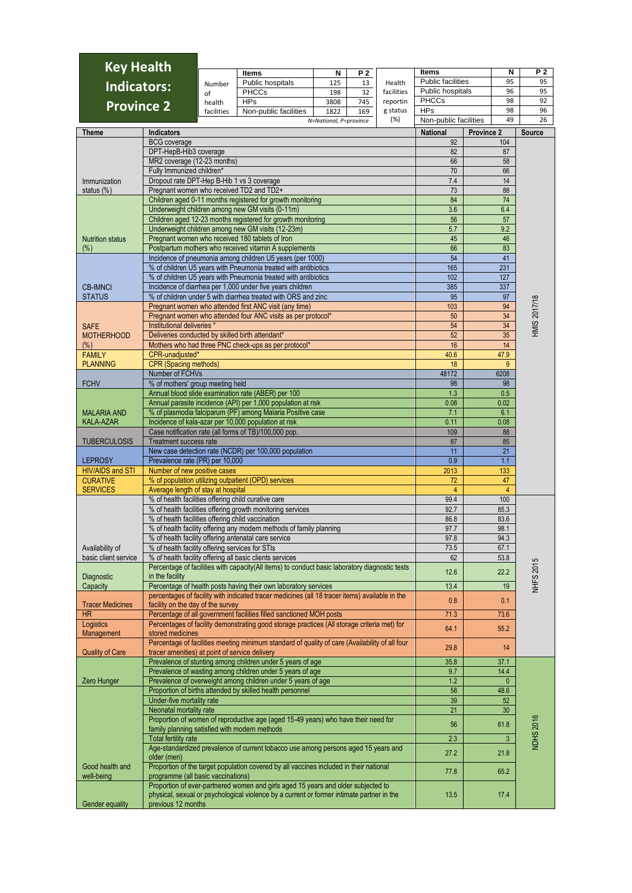| <b>Key Health</b>                  |                                                                         |                                                                                                                 |                                                                                                                                                             |                                |           |                 | <b>Items</b>               |            | N                     | P 2                 |  |
|------------------------------------|-------------------------------------------------------------------------|-----------------------------------------------------------------------------------------------------------------|-------------------------------------------------------------------------------------------------------------------------------------------------------------|--------------------------------|-----------|-----------------|----------------------------|------------|-----------------------|---------------------|--|
|                                    |                                                                         | Number                                                                                                          | <b>Items</b><br>Public hospitals                                                                                                                            | N<br>125                       | P 2<br>13 | Health          | <b>Public facilities</b>   |            | 95                    | 95                  |  |
| <b>Indicators:</b>                 |                                                                         | of                                                                                                              | <b>PHCCs</b>                                                                                                                                                | 198                            | 32        | facilities      | Public hospitals           |            | 96                    | 95                  |  |
| <b>Province 2</b>                  |                                                                         | health                                                                                                          | <b>HPs</b>                                                                                                                                                  | 3808                           | 745       | reportin        | <b>PHCCs</b><br><b>HPs</b> |            | 98<br>98              | 92<br>96            |  |
|                                    |                                                                         | facilities                                                                                                      | Non-public facilities                                                                                                                                       | 1822<br>N=National, P=province | 169       | g status<br>(%) | Non-public facilities      |            | 49                    | 26                  |  |
| <b>Theme</b>                       | <b>Indicators</b>                                                       |                                                                                                                 |                                                                                                                                                             |                                |           |                 | <b>National</b>            | Province 2 |                       | <b>Source</b>       |  |
|                                    | <b>BCG</b> coverage                                                     |                                                                                                                 |                                                                                                                                                             |                                |           |                 | 92                         |            | 104                   |                     |  |
|                                    | DPT-HepB-Hib3 coverage                                                  |                                                                                                                 |                                                                                                                                                             |                                |           |                 | 82                         |            | 87                    |                     |  |
|                                    | MR2 coverage (12-23 months)                                             |                                                                                                                 |                                                                                                                                                             |                                |           |                 | 66<br>70                   |            | 58<br>66              |                     |  |
| Immunization                       | Fully Immunized children*<br>Dropout rate DPT-Hep B-Hib 1 vs 3 coverage |                                                                                                                 |                                                                                                                                                             |                                |           |                 | 7.4                        |            | 14                    |                     |  |
| status (%)                         | Pregnant women who received TD2 and TD2+                                |                                                                                                                 |                                                                                                                                                             |                                |           |                 | 73                         |            | 88                    |                     |  |
|                                    |                                                                         |                                                                                                                 | Children aged 0-11 months registered for growth monitoring                                                                                                  |                                |           |                 | 84                         |            | 74                    |                     |  |
|                                    |                                                                         |                                                                                                                 | Underweight children among new GM visits (0-11m)<br>Children aged 12-23 months registered for growth monitoring                                             |                                |           |                 | 3.6<br>56                  |            | 6.4<br>57             |                     |  |
|                                    |                                                                         |                                                                                                                 | Underweight children among new GM visits (12-23m)                                                                                                           |                                |           |                 | 5.7                        |            | 9.2                   |                     |  |
| <b>Nutrition status</b>            |                                                                         |                                                                                                                 | Pregnant women who received 180 tablets of Iron                                                                                                             |                                |           |                 | 45                         |            | 46                    |                     |  |
| $(\%)$                             |                                                                         |                                                                                                                 | Postpartum mothers who received vitamin A supplements                                                                                                       |                                |           |                 | 66                         |            | 83                    |                     |  |
|                                    |                                                                         |                                                                                                                 | Incidence of pneumonia among children U5 years (per 1000)<br>% of children U5 years with Pneumonia treated with antibiotics                                 |                                |           |                 | 54<br>165                  |            | 41<br>231             |                     |  |
|                                    |                                                                         |                                                                                                                 | % of children U5 years with Pneumonia treated with antibiotics                                                                                              |                                |           |                 | 102                        |            | 127                   |                     |  |
| <b>CB-IMNCI</b>                    |                                                                         |                                                                                                                 | Incidence of diarrhea per 1,000 under five years children                                                                                                   |                                |           |                 | 385                        |            | 337                   |                     |  |
| <b>STATUS</b>                      |                                                                         |                                                                                                                 | % of children under 5 with diarrhea treated with ORS and zinc<br>Pregnant women who attended first ANC visit (any time)                                     |                                |           |                 | 95                         |            | 97<br>94              | <b>IMIS 2017/18</b> |  |
|                                    |                                                                         |                                                                                                                 | Pregnant women who attended four ANC visits as per protocol*                                                                                                |                                |           |                 | 103<br>50                  |            | 34                    |                     |  |
| <b>SAFE</b>                        | Institutional deliveries *                                              |                                                                                                                 |                                                                                                                                                             |                                |           |                 | 54                         |            | 34                    |                     |  |
| <b>MOTHERHOOD</b>                  |                                                                         |                                                                                                                 | Deliveries conducted by skilled birth attendant*                                                                                                            |                                |           |                 | 52                         |            | 35                    |                     |  |
| $(\%)$<br><b>FAMILY</b>            | CPR-unadjusted*                                                         |                                                                                                                 | Mothers who had three PNC check-ups as per protocol*                                                                                                        |                                |           |                 | 16<br>40.6                 |            | 14<br>47.9            |                     |  |
| <b>PLANNING</b>                    | <b>CPR (Spacing methods)</b>                                            |                                                                                                                 |                                                                                                                                                             |                                |           |                 | 18                         |            | 9                     |                     |  |
|                                    | Number of FCHVs                                                         |                                                                                                                 |                                                                                                                                                             |                                |           |                 | 48172                      |            | 6208                  |                     |  |
| <b>FCHV</b>                        | % of mothers' group meeting held                                        |                                                                                                                 |                                                                                                                                                             |                                |           |                 | 98                         |            | 98                    |                     |  |
|                                    |                                                                         |                                                                                                                 | Annual blood slide examination rate (ABER) per 100<br>Annual parasite incidence (API) per 1,000 population at risk                                          |                                |           |                 | 1.3<br>0.08                |            | 0.5<br>0.02           |                     |  |
| <b>MALARIA AND</b>                 |                                                                         |                                                                                                                 | % of plasmodia falciparum (PF) among Malaria Positive case                                                                                                  |                                |           |                 | 7.1                        |            | 6.1                   |                     |  |
| <b>KALA-AZAR</b>                   |                                                                         |                                                                                                                 | Incidence of kala-azar per 10,000 population at risk                                                                                                        |                                |           |                 | 0.11                       |            | 0.08                  |                     |  |
| <b>TUBERCULOSIS</b>                | <b>Treatment success rate</b>                                           |                                                                                                                 | Case notification rate (all forms of TB)/100,000 pop.                                                                                                       |                                |           |                 | 109<br>87                  |            | 88<br>85              |                     |  |
|                                    |                                                                         |                                                                                                                 | New case detection rate (NCDR) per 100,000 population                                                                                                       |                                |           |                 | 11                         |            | 21                    |                     |  |
| <b>LEPROSY</b>                     | Prevalence rate (PR) per 10,000                                         |                                                                                                                 |                                                                                                                                                             |                                |           |                 | 0.9                        |            | 1.1                   |                     |  |
| HIV/AIDS and STI                   | Number of new positive cases                                            |                                                                                                                 |                                                                                                                                                             |                                |           |                 | 2013                       |            | 133<br>47             |                     |  |
| <b>CURATIVE</b><br><b>SERVICES</b> | Average length of stay at hospital                                      |                                                                                                                 | % of population utilizing outpatient (OPD) services                                                                                                         |                                |           |                 | 72<br>$\overline{4}$       |            | $\overline{4}$        |                     |  |
|                                    |                                                                         |                                                                                                                 | % of health facilities offering child curative care                                                                                                         |                                |           |                 | 99.4                       |            | 100                   |                     |  |
|                                    |                                                                         | % of health facilities offering growth monitoring services<br>% of health facilities offering child vaccination |                                                                                                                                                             |                                |           |                 | 92.7                       |            | 85.3                  |                     |  |
|                                    |                                                                         |                                                                                                                 | % of health facility offering any modern methods of family planning                                                                                         |                                |           |                 | 86.8<br>97.7               |            | 83.6<br>98.1          |                     |  |
|                                    |                                                                         |                                                                                                                 | % of health facility offering antenatal care service                                                                                                        |                                |           |                 | 97.8                       |            | 94.3                  |                     |  |
| Availability of                    | % of health facility offering services for STIs                         |                                                                                                                 |                                                                                                                                                             |                                |           |                 | 73.5                       |            | 67.1                  |                     |  |
| basic client service               |                                                                         |                                                                                                                 | % of health facility offering all basic clients services<br>Percentage of facilities with capacity (All items) to conduct basic laboratory diagnostic tests |                                |           |                 | 62                         |            | 53.8                  |                     |  |
| Diagnostic                         | in the facility                                                         |                                                                                                                 |                                                                                                                                                             |                                |           |                 | 12.6                       |            | 22.2                  | <b>NHFS 2015</b>    |  |
| Capacity                           |                                                                         |                                                                                                                 | Percentage of health posts having their own laboratory services                                                                                             |                                |           |                 | 13.4                       |            | 19                    |                     |  |
| <b>Tracer Medicines</b>            | facility on the day of the survey                                       |                                                                                                                 | percentages of facility with indicated tracer medicines (all 18 tracer items) available in the                                                              |                                |           |                 | 0.8                        |            | 0.1                   |                     |  |
| <b>HR</b>                          |                                                                         |                                                                                                                 | Percentage of all government facilities filled sanctioned MOH posts                                                                                         |                                |           |                 | 71.3                       |            | 73.6                  |                     |  |
| Logistics<br>Management            | stored medicines                                                        |                                                                                                                 | Percentages of facility demonstrating good storage practices (All storage criteria met) for                                                                 |                                |           |                 | 64.1                       |            | 55.2                  |                     |  |
|                                    |                                                                         |                                                                                                                 | Percentage of facilities meeting minimum standard of quality of care (Availability of all four                                                              |                                |           |                 |                            |            |                       |                     |  |
| <b>Quality of Care</b>             | tracer amenities) at point of service delivery                          |                                                                                                                 |                                                                                                                                                             |                                |           |                 | 29.8                       |            | 14                    |                     |  |
|                                    |                                                                         |                                                                                                                 | Prevalence of stunting among children under 5 years of age<br>Prevalence of wasting among children under 5 years of age                                     |                                |           |                 | 35.8<br>9.7                |            | 37.1<br>14.4          |                     |  |
| Zero Hunger                        |                                                                         |                                                                                                                 | Prevalence of overweight among children under 5 years of age                                                                                                |                                |           |                 | 1.2                        |            | $\mathbf{0}$          |                     |  |
|                                    |                                                                         |                                                                                                                 | Proportion of births attended by skilled health personnel                                                                                                   |                                |           |                 | 58                         |            | 48.6                  |                     |  |
|                                    | Under-five mortality rate<br>Neonatal mortality rate                    |                                                                                                                 |                                                                                                                                                             |                                |           |                 | 39<br>21                   |            | 52<br>30 <sub>2</sub> |                     |  |
|                                    |                                                                         |                                                                                                                 | Proportion of women of reproductive age (aged 15-49 years) who have their need for                                                                          |                                |           |                 |                            |            |                       |                     |  |
|                                    | family planning satisfied with modern methods                           |                                                                                                                 |                                                                                                                                                             |                                |           |                 | 56                         |            | 61.8                  | <b>NDHS 2016</b>    |  |
|                                    | <b>Total fertility rate</b>                                             |                                                                                                                 | Age-standardized prevalence of current tobacco use among persons aged 15 years and                                                                          |                                |           |                 | 2.3                        |            | 3                     |                     |  |
|                                    | older (men)                                                             |                                                                                                                 |                                                                                                                                                             |                                |           |                 | 27.2                       |            | 21.8                  |                     |  |
| Good health and<br>well-being      | programme (all basic vaccinations)                                      |                                                                                                                 | Proportion of the target population covered by all vaccines included in their national                                                                      |                                |           |                 | 77.8                       |            | 65.2                  |                     |  |
|                                    |                                                                         |                                                                                                                 | Proportion of ever-partnered women and girls aged 15 years and older subjected to                                                                           |                                |           |                 |                            |            |                       |                     |  |
| Gender equality                    | previous 12 months                                                      |                                                                                                                 | physical, sexual or psychological violence by a current or former intimate partner in the                                                                   |                                |           |                 | 13.5                       |            | 17.4                  |                     |  |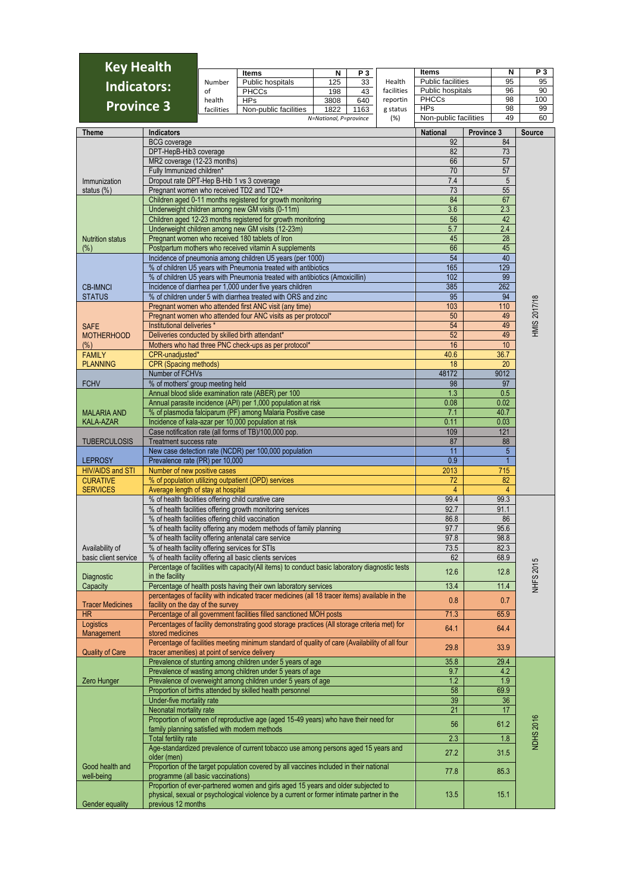| <b>Key Health</b>                       |                                                                                                               |                                                                              |                                                                                                                                                                                |                                |          |                 |                                     |              |                       | P 3                |  |  |  |
|-----------------------------------------|---------------------------------------------------------------------------------------------------------------|------------------------------------------------------------------------------|--------------------------------------------------------------------------------------------------------------------------------------------------------------------------------|--------------------------------|----------|-----------------|-------------------------------------|--------------|-----------------------|--------------------|--|--|--|
|                                         |                                                                                                               | Number                                                                       | <b>Items</b><br>Public hospitals                                                                                                                                               | N<br>125                       | PЗ<br>33 | Health          | Items<br><b>Public facilities</b>   |              | N<br>95               | 95                 |  |  |  |
| <b>Indicators:</b>                      |                                                                                                               | of                                                                           | <b>PHCCs</b>                                                                                                                                                                   | 198                            | 43       | facilities      | Public hospitals                    |              | 96                    | 90                 |  |  |  |
| <b>Province 3</b>                       |                                                                                                               | health                                                                       | <b>HPs</b>                                                                                                                                                                     | 3808                           | 640      | reportin        | <b>PHCCs</b>                        |              | 98                    | 100                |  |  |  |
|                                         |                                                                                                               | facilities                                                                   | Non-public facilities                                                                                                                                                          | 1822<br>N=National, P=province | 1163     | g status<br>(%) | <b>HPs</b><br>Non-public facilities |              | 98<br>49              | 99<br>60           |  |  |  |
|                                         |                                                                                                               |                                                                              |                                                                                                                                                                                |                                |          |                 |                                     |              |                       |                    |  |  |  |
| <b>Theme</b>                            | <b>Indicators</b><br><b>BCG</b> coverage                                                                      |                                                                              |                                                                                                                                                                                |                                |          |                 | <b>National</b><br>92               | Province 3   | 84                    | Source             |  |  |  |
|                                         | DPT-HepB-Hib3 coverage                                                                                        |                                                                              |                                                                                                                                                                                |                                |          |                 | 82                                  |              | 73                    |                    |  |  |  |
|                                         | MR2 coverage (12-23 months)                                                                                   |                                                                              |                                                                                                                                                                                |                                |          |                 | 66                                  |              | 57                    |                    |  |  |  |
|                                         | Fully Immunized children*                                                                                     |                                                                              |                                                                                                                                                                                |                                |          |                 | 70                                  |              | 57                    |                    |  |  |  |
| Immunization                            | Dropout rate DPT-Hep B-Hib 1 vs 3 coverage                                                                    |                                                                              |                                                                                                                                                                                |                                |          |                 | 7.4<br>73                           |              | $\sqrt{5}$<br>55      |                    |  |  |  |
| status $(\%)$                           | Pregnant women who received TD2 and TD2+                                                                      |                                                                              | Children aged 0-11 months registered for growth monitoring                                                                                                                     |                                |          |                 | 84                                  |              | 67                    |                    |  |  |  |
|                                         |                                                                                                               |                                                                              | Underweight children among new GM visits (0-11m)                                                                                                                               |                                |          |                 | 3.6                                 | 2.3          |                       |                    |  |  |  |
|                                         |                                                                                                               |                                                                              | Children aged 12-23 months registered for growth monitoring                                                                                                                    |                                |          |                 | 56                                  |              | 42                    |                    |  |  |  |
|                                         |                                                                                                               |                                                                              | Underweight children among new GM visits (12-23m)                                                                                                                              |                                |          |                 | 5.7                                 | 2.4          |                       |                    |  |  |  |
| <b>Nutrition status</b><br>$(\%)$       |                                                                                                               |                                                                              | Pregnant women who received 180 tablets of Iron<br>Postpartum mothers who received vitamin A supplements                                                                       |                                |          |                 | 45<br>66                            |              | 28<br>45              |                    |  |  |  |
|                                         |                                                                                                               |                                                                              | Incidence of pneumonia among children U5 years (per 1000)                                                                                                                      |                                |          |                 |                                     |              | 40                    |                    |  |  |  |
|                                         |                                                                                                               |                                                                              | % of children U5 years with Pneumonia treated with antibiotics                                                                                                                 |                                |          |                 | 54<br>165                           | 129          |                       |                    |  |  |  |
|                                         |                                                                                                               | % of children U5 years with Pneumonia treated with antibiotics (Amoxicillin) |                                                                                                                                                                                |                                |          |                 | 102                                 |              | 99                    |                    |  |  |  |
| <b>CB-IMNCI</b><br><b>STATUS</b>        |                                                                                                               |                                                                              | Incidence of diarrhea per 1,000 under five years children<br>% of children under 5 with diarrhea treated with ORS and zinc                                                     |                                |          |                 | 385<br>95                           | 262          | 94                    |                    |  |  |  |
|                                         |                                                                                                               |                                                                              | Pregnant women who attended first ANC visit (any time)                                                                                                                         |                                |          |                 | 103                                 | 110          |                       |                    |  |  |  |
|                                         |                                                                                                               |                                                                              | Pregnant women who attended four ANC visits as per protocol*                                                                                                                   |                                |          |                 | 50                                  |              | 49                    | <b>MIS 2017/18</b> |  |  |  |
| <b>SAFE</b>                             | Institutional deliveries *                                                                                    |                                                                              |                                                                                                                                                                                |                                |          |                 | 54                                  |              | 49                    |                    |  |  |  |
| <b>MOTHERHOOD</b>                       | Deliveries conducted by skilled birth attendant*                                                              |                                                                              |                                                                                                                                                                                |                                |          |                 | 52                                  |              | 49<br>10              |                    |  |  |  |
| $(\%)$<br><b>FAMILY</b>                 | CPR-unadjusted*                                                                                               |                                                                              | Mothers who had three PNC check-ups as per protocol*                                                                                                                           |                                |          |                 | 16<br>40.6                          | 36.7         |                       |                    |  |  |  |
| <b>PLANNING</b>                         | <b>CPR (Spacing methods)</b>                                                                                  |                                                                              |                                                                                                                                                                                |                                |          |                 | 18                                  |              | 20                    |                    |  |  |  |
|                                         | Number of FCHVs                                                                                               |                                                                              |                                                                                                                                                                                |                                |          |                 | 48172                               | 9012         |                       |                    |  |  |  |
| <b>FCHV</b>                             | % of mothers' group meeting held                                                                              |                                                                              |                                                                                                                                                                                |                                |          |                 | 98                                  |              | 97                    |                    |  |  |  |
|                                         |                                                                                                               |                                                                              | Annual blood slide examination rate (ABER) per 100<br>Annual parasite incidence (API) per 1,000 population at risk                                                             |                                |          |                 | 1.3<br>0.08                         | 0.5<br>0.02  |                       |                    |  |  |  |
| <b>MALARIA AND</b>                      |                                                                                                               |                                                                              | % of plasmodia falciparum (PF) among Malaria Positive case                                                                                                                     |                                |          |                 | 7.1                                 | 40.7         |                       |                    |  |  |  |
| <b>KALA-AZAR</b>                        |                                                                                                               |                                                                              | Incidence of kala-azar per 10,000 population at risk                                                                                                                           |                                |          |                 | 0.11                                | 0.03         |                       |                    |  |  |  |
|                                         |                                                                                                               |                                                                              | Case notification rate (all forms of TB)/100,000 pop.                                                                                                                          |                                |          |                 | 109                                 | 121          |                       |                    |  |  |  |
| <b>TUBERCULOSIS</b>                     | Treatment success rate                                                                                        |                                                                              | New case detection rate (NCDR) per 100,000 population                                                                                                                          |                                |          |                 | 87<br>11                            |              | 88<br>$5\phantom{.0}$ |                    |  |  |  |
| <b>LEPROSY</b>                          | Prevalence rate (PR) per 10,000                                                                               |                                                                              |                                                                                                                                                                                |                                |          |                 | 0.9                                 |              | $\overline{1}$        |                    |  |  |  |
| <b>HIV/AIDS and STI</b>                 | Number of new positive cases                                                                                  |                                                                              |                                                                                                                                                                                |                                |          |                 | 2013                                | 715          |                       |                    |  |  |  |
| <b>CURATIVE</b>                         |                                                                                                               |                                                                              | % of population utilizing outpatient (OPD) services                                                                                                                            |                                |          |                 | 72                                  |              | 82                    |                    |  |  |  |
| <b>SERVICES</b>                         | Average length of stay at hospital                                                                            |                                                                              | % of health facilities offering child curative care                                                                                                                            |                                |          |                 | 4<br>99.4                           | 99.3         | $\overline{4}$        |                    |  |  |  |
|                                         |                                                                                                               |                                                                              | % of health facilities offering growth monitoring services                                                                                                                     |                                |          |                 | 92.7                                | 91.1         |                       |                    |  |  |  |
|                                         | % of health facilities offering child vaccination                                                             |                                                                              |                                                                                                                                                                                |                                |          |                 | 86.8                                |              | 86                    |                    |  |  |  |
|                                         |                                                                                                               |                                                                              | % of health facility offering any modern methods of family planning                                                                                                            |                                |          |                 | 97.7                                | 95.6         |                       |                    |  |  |  |
|                                         |                                                                                                               |                                                                              | % of health facility offering antenatal care service                                                                                                                           |                                |          |                 | 97.8<br>73.5                        | 98.8<br>82.3 |                       |                    |  |  |  |
| Availability of<br>basic client service | % of health facility offering services for STIs                                                               |                                                                              | % of health facility offering all basic clients services                                                                                                                       |                                |          |                 | 62                                  | 68.9         |                       |                    |  |  |  |
|                                         |                                                                                                               |                                                                              | Percentage of facilities with capacity(All items) to conduct basic laboratory diagnostic tests                                                                                 |                                |          |                 | 12.6                                | 12.8         |                       |                    |  |  |  |
| Diagnostic                              | in the facility                                                                                               |                                                                              |                                                                                                                                                                                |                                |          |                 |                                     |              |                       | <b>NHFS 2015</b>   |  |  |  |
| Capacity                                |                                                                                                               |                                                                              | Percentage of health posts having their own laboratory services<br>percentages of facility with indicated tracer medicines (all 18 tracer items) available in the              |                                |          |                 | 13.4                                | 11.4         |                       |                    |  |  |  |
| <b>Tracer Medicines</b>                 | facility on the day of the survey                                                                             |                                                                              |                                                                                                                                                                                |                                |          |                 | 0.8                                 | 0.7          |                       |                    |  |  |  |
| <b>HR</b>                               |                                                                                                               |                                                                              | Percentage of all government facilities filled sanctioned MOH posts                                                                                                            |                                |          |                 | 71.3                                | 65.9         |                       |                    |  |  |  |
| Logistics                               |                                                                                                               |                                                                              | Percentages of facility demonstrating good storage practices (All storage criteria met) for                                                                                    |                                |          |                 | 64.1                                | 64.4         |                       |                    |  |  |  |
| Management                              | stored medicines                                                                                              |                                                                              | Percentage of facilities meeting minimum standard of quality of care (Availability of all four                                                                                 |                                |          |                 |                                     |              |                       |                    |  |  |  |
| <b>Quality of Care</b>                  | tracer amenities) at point of service delivery                                                                |                                                                              |                                                                                                                                                                                |                                |          |                 | 29.8                                | 33.9         |                       |                    |  |  |  |
|                                         |                                                                                                               |                                                                              | Prevalence of stunting among children under 5 years of age                                                                                                                     |                                |          |                 | 35.8                                | 29.4         |                       |                    |  |  |  |
|                                         |                                                                                                               |                                                                              | Prevalence of wasting among children under 5 years of age<br>Prevalence of overweight among children under 5 years of age                                                      |                                |          |                 | 9.7<br>1.2                          | 4.2<br>1.9   |                       |                    |  |  |  |
| Zero Hunger                             |                                                                                                               |                                                                              | Proportion of births attended by skilled health personnel                                                                                                                      |                                |          |                 | 58                                  | 69.9         |                       |                    |  |  |  |
|                                         | Under-five mortality rate                                                                                     |                                                                              |                                                                                                                                                                                |                                |          |                 | 39                                  |              | 36                    |                    |  |  |  |
|                                         | Neonatal mortality rate<br>Proportion of women of reproductive age (aged 15-49 years) who have their need for |                                                                              |                                                                                                                                                                                |                                |          |                 | 21                                  |              | 17                    |                    |  |  |  |
|                                         |                                                                                                               |                                                                              |                                                                                                                                                                                |                                |          |                 | 56                                  | 61.2         |                       |                    |  |  |  |
|                                         | family planning satisfied with modern methods<br><b>Total fertility rate</b>                                  |                                                                              |                                                                                                                                                                                |                                |          |                 | 2.3                                 | 1.8          |                       | <b>NDHS 2016</b>   |  |  |  |
|                                         |                                                                                                               |                                                                              | Age-standardized prevalence of current tobacco use among persons aged 15 years and                                                                                             |                                |          |                 | 27.2                                | 31.5         |                       |                    |  |  |  |
|                                         | older (men)                                                                                                   |                                                                              |                                                                                                                                                                                |                                |          |                 |                                     |              |                       |                    |  |  |  |
| Good health and<br>well-being           | programme (all basic vaccinations)                                                                            |                                                                              | Proportion of the target population covered by all vaccines included in their national                                                                                         |                                |          |                 | 77.8                                | 85.3         |                       |                    |  |  |  |
| Gender equality                         | previous 12 months                                                                                            |                                                                              | Proportion of ever-partnered women and girls aged 15 years and older subjected to<br>physical, sexual or psychological violence by a current or former intimate partner in the |                                |          |                 | 13.5                                | 15.1         |                       |                    |  |  |  |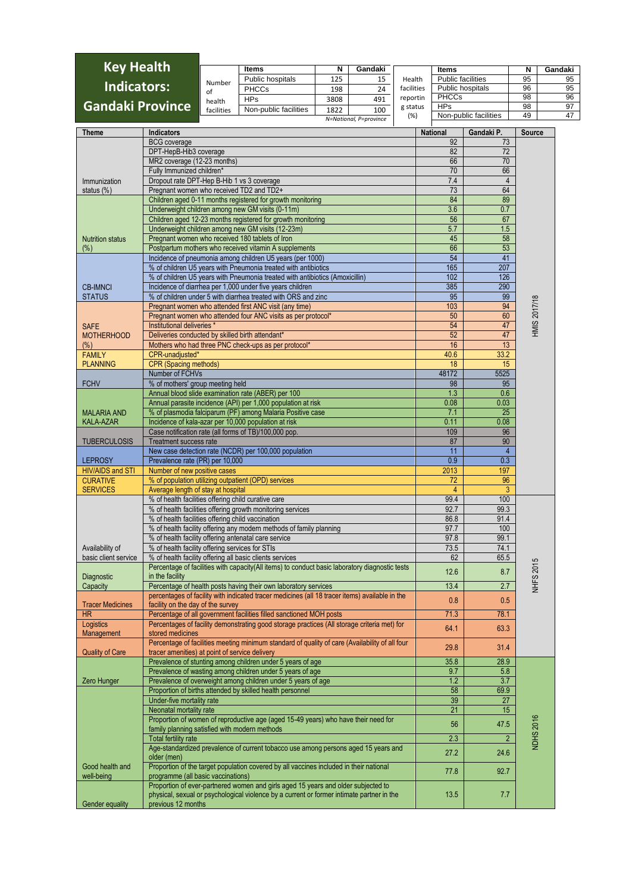| <b>Key Health</b>       |            | <b>Items</b>          |      | Gandaki                |            | Items                    | N  | Gandaki |
|-------------------------|------------|-----------------------|------|------------------------|------------|--------------------------|----|---------|
|                         | Number     | Public hospitals      | 125  | 15                     | Health     | <b>Public facilities</b> | 95 | 95      |
| Indicators:             | -ot        | <b>PHCCs</b>          | 198  | 24                     | facilities | Public hospitals         | 96 | 95      |
|                         | health     | <b>HPs</b>            | 3808 | 491                    | reportin   | <b>PHCCs</b>             | 98 | 96      |
| <b>Gandaki Province</b> | facilities | Non-public facilities | 1822 | 100                    | g status   | <b>HPs</b>               | 98 | 97      |
|                         |            |                       |      | N=National, P=province | (%)        | Non-public facilities    | 49 | 47      |
|                         |            |                       |      |                        |            |                          |    |         |

| Theme                   | <b>Indicators</b>                                                                                                                                | <b>National</b> | Gandaki P.     | Source              |
|-------------------------|--------------------------------------------------------------------------------------------------------------------------------------------------|-----------------|----------------|---------------------|
|                         | <b>BCG</b> coverage                                                                                                                              | 92              | 73             |                     |
|                         | DPT-HepB-Hib3 coverage                                                                                                                           | 82              | 72             |                     |
|                         | MR2 coverage (12-23 months)                                                                                                                      | 66              | 70             |                     |
|                         | Fully Immunized children*                                                                                                                        | 70              | 66             |                     |
| Immunization            | Dropout rate DPT-Hep B-Hib 1 vs 3 coverage                                                                                                       | 7.4             | $\overline{4}$ |                     |
| status (%)              | Pregnant women who received TD2 and TD2+                                                                                                         | 73              | 64             |                     |
|                         | Children aged 0-11 months registered for growth monitoring                                                                                       | 84              | 89             |                     |
|                         | Underweight children among new GM visits (0-11m)                                                                                                 | 3.6             | 0.7            |                     |
|                         | Children aged 12-23 months registered for growth monitoring                                                                                      | 56              | 67             |                     |
|                         | Underweight children among new GM visits (12-23m)                                                                                                | 5.7             | 1.5            |                     |
| <b>Nutrition status</b> | Pregnant women who received 180 tablets of Iron                                                                                                  | 45              | 58             |                     |
| $(\%)$                  | Postpartum mothers who received vitamin A supplements                                                                                            | 66              | 53             |                     |
|                         | Incidence of pneumonia among children U5 years (per 1000)                                                                                        | 54              | 41             |                     |
|                         | % of children U5 years with Pneumonia treated with antibiotics                                                                                   | 165             | 207            |                     |
|                         | % of children U5 years with Pneumonia treated with antibiotics (Amoxicillin)                                                                     | 102             | 126            |                     |
| <b>CB-IMNCI</b>         | Incidence of diarrhea per 1,000 under five years children                                                                                        | 385             | 290            |                     |
| <b>STATUS</b>           | % of children under 5 with diarrhea treated with ORS and zinc                                                                                    | 95              | 99             |                     |
|                         | Pregnant women who attended first ANC visit (any time)                                                                                           | 103             | 94             | <b>HMIS 2017/18</b> |
|                         | Pregnant women who attended four ANC visits as per protocol*                                                                                     | 50              | 60             |                     |
| <b>SAFE</b>             | Institutional deliveries *                                                                                                                       | 54              | 47             |                     |
| <b>MOTHERHOOD</b>       | Deliveries conducted by skilled birth attendant*                                                                                                 | 52              | 47             |                     |
| $(\%)$                  | Mothers who had three PNC check-ups as per protocol*                                                                                             | 16              | 13             |                     |
| <b>FAMILY</b>           | CPR-unadjusted*                                                                                                                                  | 40.6            | 33.2           |                     |
| <b>PLANNING</b>         | CPR (Spacing methods)                                                                                                                            | 18              | 15             |                     |
|                         | Number of FCHVs                                                                                                                                  | 48172           | 5525           |                     |
| <b>FCHV</b>             | % of mothers' group meeting held                                                                                                                 | 98              | 95             |                     |
|                         | Annual blood slide examination rate (ABER) per 100                                                                                               | 1.3             | 0.6            |                     |
|                         | Annual parasite incidence (API) per 1,000 population at risk                                                                                     | 0.08            | 0.03           |                     |
| <b>MALARIA AND</b>      | % of plasmodia falciparum (PF) among Malaria Positive case                                                                                       | 7.1             | 25             |                     |
| <b>KALA-AZAR</b>        | Incidence of kala-azar per 10,000 population at risk                                                                                             | 0.11            | 0.08           |                     |
|                         | Case notification rate (all forms of TB)/100,000 pop.                                                                                            | 109             | 96             |                     |
| <b>TUBERCULOSIS</b>     | <b>Treatment success rate</b>                                                                                                                    | 87              | 90             |                     |
|                         | New case detection rate (NCDR) per 100,000 population                                                                                            | 11              | $\overline{4}$ |                     |
| <b>LEPROSY</b>          | Prevalence rate (PR) per 10,000                                                                                                                  | 0.9             | 0.3            |                     |
| <b>HIV/AIDS and STI</b> | Number of new positive cases                                                                                                                     | 2013            | 197            |                     |
| <b>CURATIVE</b>         | % of population utilizing outpatient (OPD) services                                                                                              | 72              | 96             |                     |
| <b>SERVICES</b>         | Average length of stay at hospital                                                                                                               | $\overline{4}$  | 3              |                     |
|                         | % of health facilities offering child curative care                                                                                              | 99.4            | 100            |                     |
|                         | % of health facilities offering growth monitoring services                                                                                       | 92.7            | 99.3           |                     |
|                         | % of health facilities offering child vaccination                                                                                                | 86.8            | 91.4           |                     |
|                         | % of health facility offering any modern methods of family planning                                                                              | 97.7            | 100            |                     |
|                         | % of health facility offering antenatal care service                                                                                             | 97.8            | 99.1           |                     |
| Availability of         | % of health facility offering services for STIs                                                                                                  | 73.5            | 74.1           |                     |
| basic client service    | % of health facility offering all basic clients services                                                                                         | 62              | 65.5           |                     |
|                         | Percentage of facilities with capacity(All items) to conduct basic laboratory diagnostic tests                                                   | 12.6            | 8.7            | <b>NHFS 2015</b>    |
| Diagnostic              | in the facility                                                                                                                                  |                 |                |                     |
| Capacity                | Percentage of health posts having their own laboratory services                                                                                  | 13.4            | 2.7            |                     |
|                         | percentages of facility with indicated tracer medicines (all 18 tracer items) available in the                                                   | 0.8             | 0.5            |                     |
| <b>Tracer Medicines</b> | facility on the day of the survey                                                                                                                |                 |                |                     |
| <b>HR</b>               | Percentage of all government facilities filled sanctioned MOH posts                                                                              | 71.3            | 78.1           |                     |
| Logistics               | Percentages of facility demonstrating good storage practices (All storage criteria met) for<br>stored medicines                                  | 64.1            | 63.3           |                     |
| Management              |                                                                                                                                                  |                 |                |                     |
| <b>Quality of Care</b>  | Percentage of facilities meeting minimum standard of quality of care (Availability of all four<br>tracer amenities) at point of service delivery | 29.8            | 31.4           |                     |
|                         | Prevalence of stunting among children under 5 years of age                                                                                       | 35.8            | 28.9           |                     |
|                         |                                                                                                                                                  | 9.7             |                |                     |
| Zero Hunger             | Prevalence of wasting among children under 5 years of age<br>Prevalence of overweight among children under 5 years of age                        | 1.2             | 5.8<br>3.7     |                     |
|                         | Proportion of births attended by skilled health personnel                                                                                        | 58              | 69.9           |                     |
|                         | Under-five mortality rate                                                                                                                        | 39              | 27             |                     |
|                         | Neonatal mortality rate                                                                                                                          | 21              | 15             |                     |
|                         | Proportion of women of reproductive age (aged 15-49 years) who have their need for                                                               |                 |                |                     |
|                         | family planning satisfied with modern methods                                                                                                    | 56              | 47.5           |                     |
|                         |                                                                                                                                                  | 2.3             |                |                     |
|                         | <b>Total fertility rate</b><br>Age-standardized prevalence of current tobacco use among persons aged 15 years and                                |                 | $\overline{2}$ | <b>NDHS 2016</b>    |
|                         |                                                                                                                                                  | 27.2            | 24.6           |                     |
| Good health and         | older (men)<br>Proportion of the target population covered by all vaccines included in their national                                            |                 |                |                     |
| well-being              | programme (all basic vaccinations)                                                                                                               | 77.8            | 92.7           |                     |
|                         | Proportion of ever-partnered women and girls aged 15 years and older subjected to                                                                |                 |                |                     |
| Gender equality         | physical, sexual or psychological violence by a current or former intimate partner in the<br>previous 12 months                                  | 13.5            | 7.7            |                     |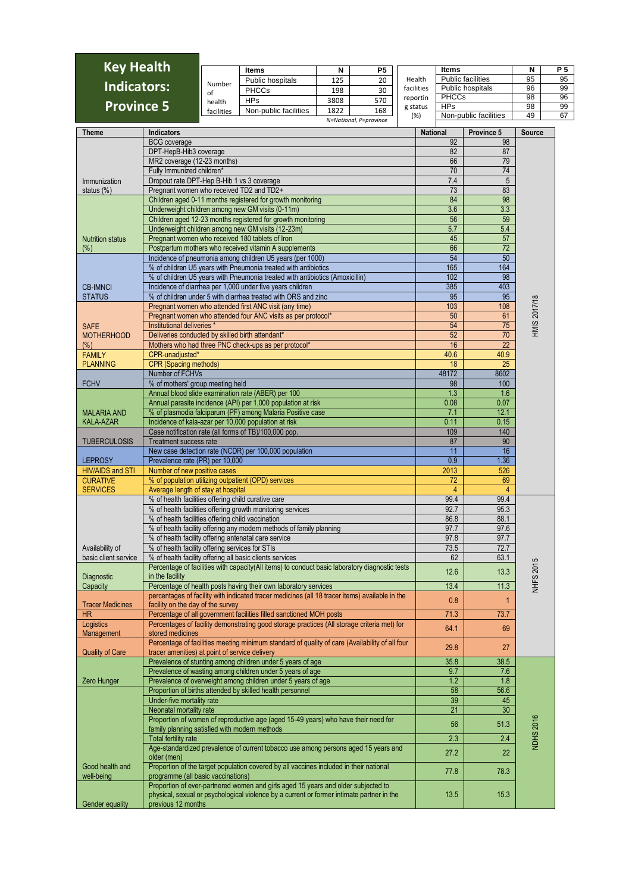| <b>Key Health</b>  |            | <b>Items</b>          |      | P5                     |            | ltems                    |    | P 5 |
|--------------------|------------|-----------------------|------|------------------------|------------|--------------------------|----|-----|
|                    | Number     | Public hospitals      | 125  | 20                     | Health     | <b>Public facilities</b> | 95 | 95  |
| <b>Indicators:</b> | of         | <b>PHCCs</b>          | 198  | 30                     | facilities | Public hospitals         | 96 | 99  |
|                    | health     | <b>HPs</b>            | 3808 | 570                    | reportin   | <b>PHCCs</b>             | 98 | 96  |
| <b>Province 5</b>  |            | Non-public facilities | 1822 | 168                    | g status   | <b>HPs</b>               | 98 | 99  |
|                    | facilities |                       |      |                        | (%)        | Non-public facilities    | 49 | 67  |
|                    |            |                       |      | N=National, P=province |            |                          |    |     |

| Theme                                | <b>Indicators</b>                                                                                                                                                                                    | <b>National</b> | Province 5      | <b>Source</b>       |
|--------------------------------------|------------------------------------------------------------------------------------------------------------------------------------------------------------------------------------------------------|-----------------|-----------------|---------------------|
|                                      | <b>BCG</b> coverage                                                                                                                                                                                  | 92              | 98              |                     |
|                                      | DPT-HepB-Hib3 coverage                                                                                                                                                                               | 82              | 87              |                     |
|                                      | MR2 coverage (12-23 months)                                                                                                                                                                          | 66              | 79              |                     |
|                                      | Fully Immunized children*                                                                                                                                                                            | 70              | 74              |                     |
| Immunization                         | Dropout rate DPT-Hep B-Hib 1 vs 3 coverage                                                                                                                                                           | 7.4             | 5               |                     |
| status (%)                           | Pregnant women who received TD2 and TD2+                                                                                                                                                             | 73              | 83              |                     |
|                                      | Children aged 0-11 months registered for growth monitoring                                                                                                                                           | 84              | 98              |                     |
|                                      | Underweight children among new GM visits (0-11m)                                                                                                                                                     | 3.6             | 3.3             |                     |
|                                      | Children aged 12-23 months registered for growth monitoring                                                                                                                                          | 56              | 59              |                     |
|                                      | Underweight children among new GM visits (12-23m)                                                                                                                                                    | 5.7             | 5.4             |                     |
| <b>Nutrition status</b>              | Pregnant women who received 180 tablets of Iron                                                                                                                                                      | 45              | 57              |                     |
| $(\%)$                               | Postpartum mothers who received vitamin A supplements                                                                                                                                                | 66              | $\overline{72}$ |                     |
|                                      | Incidence of pneumonia among children U5 years (per 1000)                                                                                                                                            | 54              | 50              |                     |
|                                      | % of children U5 years with Pneumonia treated with antibiotics                                                                                                                                       | 165             | 164             |                     |
|                                      | % of children U5 years with Pneumonia treated with antibiotics (Amoxicillin)                                                                                                                         | 102             | 98              |                     |
| <b>CB-IMNCI</b>                      | Incidence of diarrhea per 1,000 under five years children                                                                                                                                            | 385             | 403             |                     |
| <b>STATUS</b>                        | % of children under 5 with diarrhea treated with ORS and zinc                                                                                                                                        | 95              | 95              |                     |
|                                      | Pregnant women who attended first ANC visit (any time)                                                                                                                                               | 103             | 108             |                     |
|                                      | Pregnant women who attended four ANC visits as per protocol*                                                                                                                                         | 50              | 61              | <b>HMIS 2017/18</b> |
| <b>SAFE</b>                          | Institutional deliveries *                                                                                                                                                                           | 54              | 75              |                     |
| <b>MOTHERHOOD</b>                    | Deliveries conducted by skilled birth attendant*                                                                                                                                                     | 52              | 70              |                     |
| $(\%)$                               | Mothers who had three PNC check-ups as per protocol*                                                                                                                                                 | 16              | 22              |                     |
| <b>FAMILY</b>                        | CPR-unadjusted*                                                                                                                                                                                      | 40.6            | 40.9            |                     |
| <b>PLANNING</b>                      | <b>CPR (Spacing methods)</b>                                                                                                                                                                         | 18              | 25              |                     |
|                                      | Number of FCHVs                                                                                                                                                                                      | 48172           | 8602            |                     |
| <b>FCHV</b>                          | % of mothers' group meeting held                                                                                                                                                                     | 98              | 100             |                     |
|                                      | Annual blood slide examination rate (ABER) per 100                                                                                                                                                   | 1.3             | 1.6             |                     |
|                                      | Annual parasite incidence (API) per 1,000 population at risk                                                                                                                                         | 0.08            | 0.07            |                     |
| <b>MALARIA AND</b>                   | % of plasmodia falciparum (PF) among Malaria Positive case                                                                                                                                           | 7.1             | 12.1            |                     |
| <b>KALA-AZAR</b>                     | Incidence of kala-azar per 10,000 population at risk                                                                                                                                                 | 0.11            | 0.15            |                     |
|                                      | Case notification rate (all forms of TB)/100,000 pop.                                                                                                                                                | 109             | 140             |                     |
| <b>TUBERCULOSIS</b>                  | <b>Treatment success rate</b>                                                                                                                                                                        | 87              | 90              |                     |
|                                      | New case detection rate (NCDR) per 100,000 population                                                                                                                                                | 11              | 16              |                     |
| <b>LEPROSY</b>                       | Prevalence rate (PR) per 10,000                                                                                                                                                                      | 0.9             | 1.36            |                     |
| <b>HIV/AIDS and STI</b>              | Number of new positive cases                                                                                                                                                                         | 2013            | 526             |                     |
| <b>CURATIVE</b>                      | % of population utilizing outpatient (OPD) services                                                                                                                                                  | 72              | 69              |                     |
| <b>SERVICES</b>                      | Average length of stay at hospital                                                                                                                                                                   | 4               | $\overline{4}$  |                     |
|                                      | % of health facilities offering child curative care                                                                                                                                                  | 99.4            | 99.4            |                     |
|                                      | % of health facilities offering growth monitoring services                                                                                                                                           | 92.7            | 95.3            |                     |
|                                      | % of health facilities offering child vaccination                                                                                                                                                    | 86.8            | 88.1            |                     |
|                                      | % of health facility offering any modern methods of family planning                                                                                                                                  | 97.7            | 97.6            |                     |
|                                      | % of health facility offering antenatal care service                                                                                                                                                 | 97.8            | 97.7            |                     |
|                                      |                                                                                                                                                                                                      | 73.5            | 72.7            |                     |
| Availability of                      | % of health facility offering services for STIs                                                                                                                                                      |                 |                 |                     |
| basic client service                 | % of health facility offering all basic clients services                                                                                                                                             | 62              | 63.1            |                     |
|                                      | Percentage of facilities with capacity(All items) to conduct basic laboratory diagnostic tests<br>in the facility                                                                                    | 12.6            | 13.3            | <b>NHFS 2015</b>    |
| Diagnostic                           |                                                                                                                                                                                                      | 13.4            | 11.3            |                     |
| Capacity                             | Percentage of health posts having their own laboratory services                                                                                                                                      |                 |                 |                     |
|                                      | percentages of facility with indicated tracer medicines (all 18 tracer items) available in the                                                                                                       | 0.8             | $\mathbf{1}$    |                     |
| <b>Tracer Medicines</b><br><b>HR</b> | facility on the day of the survey<br>Percentage of all government facilities filled sanctioned MOH posts                                                                                             | 71.3            | 73.7            |                     |
|                                      | Percentages of facility demonstrating good storage practices (All storage criteria met) for                                                                                                          |                 |                 |                     |
| Logistics<br>Management              | stored medicines                                                                                                                                                                                     | 64.1            | 69              |                     |
|                                      | Percentage of facilities meeting minimum standard of quality of care (Availability of all four                                                                                                       |                 |                 |                     |
| <b>Quality of Care</b>               | tracer amenities) at point of service delivery                                                                                                                                                       | 29.8            | 27              |                     |
|                                      | Prevalence of stunting among children under 5 years of age                                                                                                                                           | 35.8            | 38.5            |                     |
|                                      | Prevalence of wasting among children under 5 years of age                                                                                                                                            | 9.7             |                 |                     |
|                                      | Prevalence of overweight among children under 5 years of age                                                                                                                                         | 1.2             | 7.6<br>1.8      |                     |
| Zero Hunger                          | Proportion of births attended by skilled health personnel                                                                                                                                            | 58              | 56.6            |                     |
|                                      |                                                                                                                                                                                                      | 39              | 45              |                     |
|                                      | Under-five mortality rate<br>Neonatal mortality rate                                                                                                                                                 | 21              | 30              |                     |
|                                      | Proportion of women of reproductive age (aged 15-49 years) who have their need for                                                                                                                   |                 |                 |                     |
|                                      |                                                                                                                                                                                                      | 56              | 51.3            |                     |
|                                      | family planning satisfied with modern methods                                                                                                                                                        |                 |                 | <b>NDHS 2016</b>    |
|                                      | <b>Total fertility rate</b>                                                                                                                                                                          | 2.3             | 2.4             |                     |
|                                      | Age-standardized prevalence of current tobacco use among persons aged 15 years and                                                                                                                   | 27.2            | 22              |                     |
|                                      | older (men)                                                                                                                                                                                          |                 |                 |                     |
| Good health and                      | Proportion of the target population covered by all vaccines included in their national                                                                                                               | 77.8            | 78.3            |                     |
| well-being                           | programme (all basic vaccinations)                                                                                                                                                                   |                 |                 |                     |
| Gender equality                      | Proportion of ever-partnered women and girls aged 15 years and older subjected to<br>physical, sexual or psychological violence by a current or former intimate partner in the<br>previous 12 months | 13.5            | 15.3            |                     |
|                                      |                                                                                                                                                                                                      |                 |                 |                     |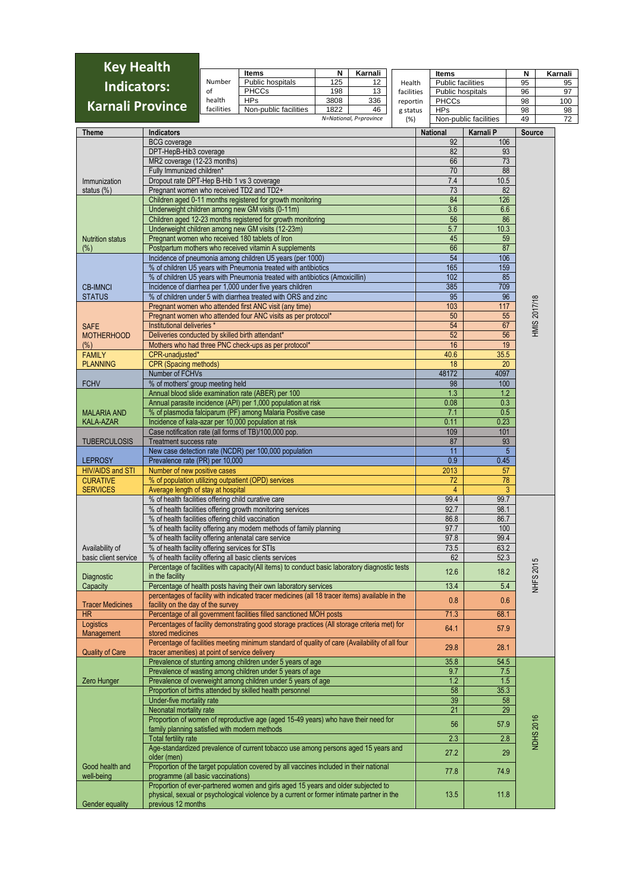| <b>Key Health</b>                         |                                                                 |                                                                                            |                                                                                                                                                                                |            |                              |            |                                   |                       |                     |               |
|-------------------------------------------|-----------------------------------------------------------------|--------------------------------------------------------------------------------------------|--------------------------------------------------------------------------------------------------------------------------------------------------------------------------------|------------|------------------------------|------------|-----------------------------------|-----------------------|---------------------|---------------|
|                                           |                                                                 | Number                                                                                     | <b>Items</b><br>Public hospitals                                                                                                                                               | N<br>125   | Karnali<br>12                | Health     | Items<br><b>Public facilities</b> |                       | Ν<br>95             | Karnali<br>95 |
| <b>Indicators:</b>                        |                                                                 | of                                                                                         | <b>PHCCs</b>                                                                                                                                                                   | 198        | 13                           | facilities | Public hospitals                  |                       | 96                  | 97            |
| <b>Karnali Province</b>                   |                                                                 | health                                                                                     | <b>HPs</b>                                                                                                                                                                     | 3808       | 336                          | reportin   | <b>PHCCs</b>                      |                       | 98                  | 100           |
|                                           |                                                                 | facilities                                                                                 | Non-public facilities                                                                                                                                                          | 1822       | 46<br>N=National, P=province | g status   | <b>HPs</b>                        | Non-public facilities | 98                  | 98            |
|                                           |                                                                 |                                                                                            |                                                                                                                                                                                |            |                              | (%)        |                                   |                       | 49                  | 72            |
| <b>Theme</b>                              | <b>Indicators</b>                                               |                                                                                            |                                                                                                                                                                                |            |                              |            | <b>National</b>                   | Karnali P             | <b>Source</b>       |               |
|                                           | <b>BCG</b> coverage<br>DPT-HepB-Hib3 coverage                   |                                                                                            |                                                                                                                                                                                |            |                              |            | 92<br>82                          | 106<br>93             |                     |               |
|                                           | MR2 coverage (12-23 months)                                     |                                                                                            |                                                                                                                                                                                |            |                              |            | 66                                | 73                    |                     |               |
|                                           | Fully Immunized children*                                       |                                                                                            |                                                                                                                                                                                |            |                              |            | 70                                | 88                    |                     |               |
| Immunization                              | Dropout rate DPT-Hep B-Hib 1 vs 3 coverage                      |                                                                                            |                                                                                                                                                                                |            |                              |            | 7.4                               | 10.5                  |                     |               |
| status $(\%)$                             | Pregnant women who received TD2 and TD2+                        |                                                                                            |                                                                                                                                                                                |            |                              |            | 73                                | 82                    |                     |               |
|                                           |                                                                 |                                                                                            | Children aged 0-11 months registered for growth monitoring                                                                                                                     | 84         | 126                          |            |                                   |                       |                     |               |
|                                           |                                                                 |                                                                                            | Underweight children among new GM visits (0-11m)<br>Children aged 12-23 months registered for growth monitoring                                                                | 3.6<br>56  | 6.6<br>86                    |            |                                   |                       |                     |               |
|                                           |                                                                 |                                                                                            | Underweight children among new GM visits (12-23m)                                                                                                                              | 5.7        | 10.3                         |            |                                   |                       |                     |               |
| <b>Nutrition status</b>                   |                                                                 |                                                                                            | Pregnant women who received 180 tablets of Iron                                                                                                                                |            |                              |            | 45                                | 59                    |                     |               |
| $(\%)$                                    |                                                                 |                                                                                            | Postpartum mothers who received vitamin A supplements                                                                                                                          |            |                              |            | 66                                | 87                    |                     |               |
|                                           |                                                                 |                                                                                            | Incidence of pneumonia among children U5 years (per 1000)                                                                                                                      |            |                              |            | 54                                | 106                   |                     |               |
|                                           |                                                                 |                                                                                            | % of children U5 years with Pneumonia treated with antibiotics<br>% of children U5 years with Pneumonia treated with antibiotics (Amoxicillin)                                 | 165<br>102 | 159<br>85                    |            |                                   |                       |                     |               |
| <b>CB-IMNCI</b>                           |                                                                 |                                                                                            | Incidence of diarrhea per 1,000 under five years children                                                                                                                      |            |                              |            | 385                               | 709                   |                     |               |
| <b>STATUS</b>                             |                                                                 |                                                                                            | % of children under 5 with diarrhea treated with ORS and zinc                                                                                                                  |            | 95                           | 96         |                                   |                       |                     |               |
|                                           |                                                                 |                                                                                            | Pregnant women who attended first ANC visit (any time)                                                                                                                         |            |                              |            | 103                               | 117                   |                     |               |
|                                           |                                                                 |                                                                                            | Pregnant women who attended four ANC visits as per protocol*                                                                                                                   |            |                              |            | 50                                | 55                    | <b>HMIS 2017/18</b> |               |
| <b>SAFE</b>                               | Institutional deliveries *                                      |                                                                                            |                                                                                                                                                                                |            |                              |            | 54                                | 67                    |                     |               |
| <b>MOTHERHOOD</b>                         | Deliveries conducted by skilled birth attendant*                |                                                                                            | Mothers who had three PNC check-ups as per protocol*                                                                                                                           |            |                              |            | 52<br>16                          | 56<br>19              |                     |               |
| $(\%)$<br><b>FAMILY</b>                   | CPR-unadjusted*                                                 |                                                                                            |                                                                                                                                                                                |            |                              |            | 40.6                              | 35.5                  |                     |               |
| <b>PLANNING</b>                           | <b>CPR</b> (Spacing methods)                                    |                                                                                            |                                                                                                                                                                                |            |                              |            | 18                                | 20                    |                     |               |
|                                           | Number of FCHVs                                                 |                                                                                            |                                                                                                                                                                                |            |                              |            | 48172                             | 4097                  |                     |               |
| <b>FCHV</b>                               | % of mothers' group meeting held                                |                                                                                            |                                                                                                                                                                                |            |                              |            | 98                                | 100                   |                     |               |
|                                           |                                                                 |                                                                                            | Annual blood slide examination rate (ABER) per 100                                                                                                                             |            |                              |            | 1.3                               | 1.2                   |                     |               |
| <b>MALARIA AND</b>                        |                                                                 |                                                                                            | Annual parasite incidence (API) per 1,000 population at risk<br>% of plasmodia falciparum (PF) among Malaria Positive case                                                     |            |                              |            | 0.08<br>7.1                       | 0.3<br>0.5            |                     |               |
| <b>KALA-AZAR</b>                          |                                                                 |                                                                                            | Incidence of kala-azar per 10,000 population at risk                                                                                                                           |            |                              |            | 0.11                              | 0.23                  |                     |               |
|                                           |                                                                 |                                                                                            | Case notification rate (all forms of TB)/100,000 pop.                                                                                                                          |            |                              |            | 109                               | 101                   |                     |               |
| <b>TUBERCULOSIS</b>                       | <b>Treatment success rate</b>                                   |                                                                                            |                                                                                                                                                                                |            |                              |            | 87                                | 93                    |                     |               |
|                                           |                                                                 |                                                                                            | New case detection rate (NCDR) per 100,000 population                                                                                                                          |            |                              |            | 11                                | $5\phantom{.0}$       |                     |               |
| <b>LEPROSY</b><br><b>HIV/AIDS and STI</b> | Prevalence rate (PR) per 10,000<br>Number of new positive cases |                                                                                            |                                                                                                                                                                                |            |                              |            | 0.9<br>2013                       | 0.45<br>57            |                     |               |
| <b>CURATIVE</b>                           |                                                                 |                                                                                            | % of population utilizing outpatient (OPD) services                                                                                                                            |            |                              |            | 72                                | 78                    |                     |               |
| <b>SERVICES</b>                           | Average length of stay at hospital                              |                                                                                            |                                                                                                                                                                                |            |                              |            | 4                                 | 3                     |                     |               |
|                                           | % of health facilities offering child curative care             |                                                                                            |                                                                                                                                                                                |            |                              |            | 99.4                              | 99.7                  |                     |               |
|                                           |                                                                 |                                                                                            | % of health facilities offering growth monitoring services                                                                                                                     |            |                              |            | 92.7                              | 98.1                  |                     |               |
|                                           | % of health facilities offering child vaccination               |                                                                                            | % of health facility offering any modern methods of family planning                                                                                                            |            |                              |            | 86.8<br>97.7                      | 86.7<br>100           |                     |               |
|                                           |                                                                 |                                                                                            | % of health facility offering antenatal care service                                                                                                                           |            |                              |            | 97.8                              | 99.4                  |                     |               |
| Availability of                           | % of health facility offering services for STIs                 |                                                                                            |                                                                                                                                                                                |            |                              |            | 73.5                              | 63.2                  |                     |               |
| basic client service                      |                                                                 |                                                                                            | % of health facility offering all basic clients services                                                                                                                       |            |                              |            | 62                                | 52.3                  |                     |               |
|                                           |                                                                 |                                                                                            | Percentage of facilities with capacity(All items) to conduct basic laboratory diagnostic tests                                                                                 |            |                              |            | 12.6                              | 18.2                  | <b>NHFS 2015</b>    |               |
| Diagnostic<br>Capacity                    | in the facility                                                 |                                                                                            | Percentage of health posts having their own laboratory services                                                                                                                |            |                              |            | 13.4                              | 5.4                   |                     |               |
|                                           |                                                                 |                                                                                            | percentages of facility with indicated tracer medicines (all 18 tracer items) available in the                                                                                 |            |                              |            |                                   |                       |                     |               |
| <b>Tracer Medicines</b>                   | facility on the day of the survey                               |                                                                                            |                                                                                                                                                                                |            |                              |            | 0.8                               | 0.6                   |                     |               |
| <b>HR</b>                                 |                                                                 |                                                                                            | Percentage of all government facilities filled sanctioned MOH posts                                                                                                            |            |                              |            | 71.3                              | 68.1                  |                     |               |
| Logistics                                 | stored medicines                                                |                                                                                            | Percentages of facility demonstrating good storage practices (All storage criteria met) for                                                                                    |            |                              |            | 64.1                              | 57.9                  |                     |               |
| Management                                |                                                                 |                                                                                            | Percentage of facilities meeting minimum standard of quality of care (Availability of all four                                                                                 |            |                              |            |                                   |                       |                     |               |
| <b>Quality of Care</b>                    | tracer amenities) at point of service delivery                  |                                                                                            |                                                                                                                                                                                |            |                              |            | 29.8                              | 28.1                  |                     |               |
|                                           |                                                                 |                                                                                            | Prevalence of stunting among children under 5 years of age                                                                                                                     |            |                              |            | 35.8                              | 54.5                  |                     |               |
|                                           |                                                                 |                                                                                            | Prevalence of wasting among children under 5 years of age                                                                                                                      |            |                              |            | 9.7                               | 7.5                   |                     |               |
| Zero Hunger                               |                                                                 |                                                                                            | Prevalence of overweight among children under 5 years of age<br>Proportion of births attended by skilled health personnel                                                      |            |                              |            | 1.2<br>58                         | 1.5<br>35.3           |                     |               |
|                                           | Under-five mortality rate                                       |                                                                                            |                                                                                                                                                                                |            |                              |            | 39                                | 58                    |                     |               |
|                                           | Neonatal mortality rate                                         |                                                                                            |                                                                                                                                                                                |            |                              |            | 21                                | 29                    |                     |               |
|                                           |                                                                 |                                                                                            | Proportion of women of reproductive age (aged 15-49 years) who have their need for                                                                                             |            |                              |            | 56                                | 57.9                  |                     |               |
|                                           | family planning satisfied with modern methods                   |                                                                                            |                                                                                                                                                                                |            |                              |            |                                   |                       |                     |               |
|                                           | <b>Total fertility rate</b>                                     |                                                                                            |                                                                                                                                                                                |            |                              |            | 2.3                               | 2.8                   | <b>NDHS 2016</b>    |               |
|                                           | older (men)                                                     | Age-standardized prevalence of current tobacco use among persons aged 15 years and<br>27.2 |                                                                                                                                                                                |            |                              |            |                                   |                       |                     |               |
| Good health and                           |                                                                 |                                                                                            | Proportion of the target population covered by all vaccines included in their national                                                                                         |            |                              |            |                                   |                       |                     |               |
| well-being                                | programme (all basic vaccinations)                              |                                                                                            |                                                                                                                                                                                |            |                              |            | 77.8                              | 74.9                  |                     |               |
| Gender equality                           | previous 12 months                                              |                                                                                            | Proportion of ever-partnered women and girls aged 15 years and older subjected to<br>physical, sexual or psychological violence by a current or former intimate partner in the |            |                              |            | 13.5                              | 11.8                  |                     |               |